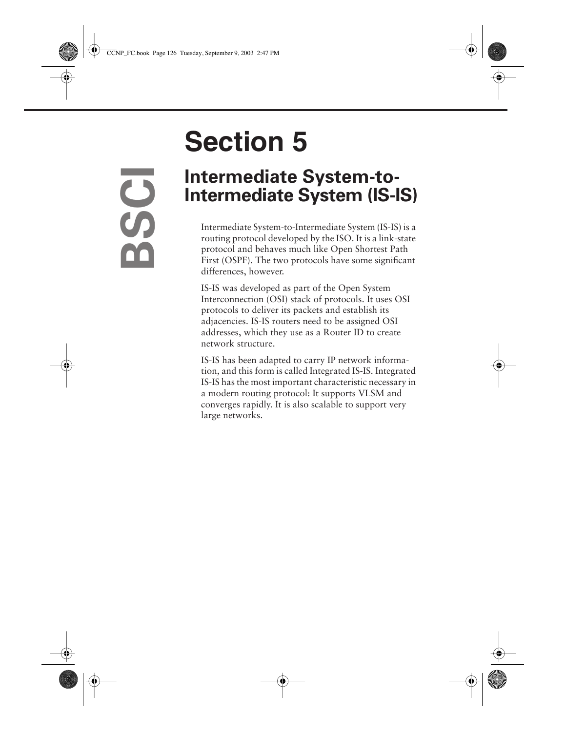# **Section 5**

**BSCI**

# **Intermediate System-to-Intermediate System (IS-IS)**

Intermediate System-to-Intermediate System (IS-IS) is a routing protocol developed by the ISO. It is a link-state protocol and behaves much like Open Shortest Path First (OSPF). The two protocols have some significant differences, however.

IS-IS was developed as part of the Open System Interconnection (OSI) stack of protocols. It uses OSI protocols to deliver its packets and establish its adjacencies. IS-IS routers need to be assigned OSI addresses, which they use as a Router ID to create network structure.

IS-IS has been adapted to carry IP network information, and this form is called Integrated IS-IS. Integrated IS-IS has the most important characteristic necessary in a modern routing protocol: It supports VLSM and converges rapidly. It is also scalable to support very large networks.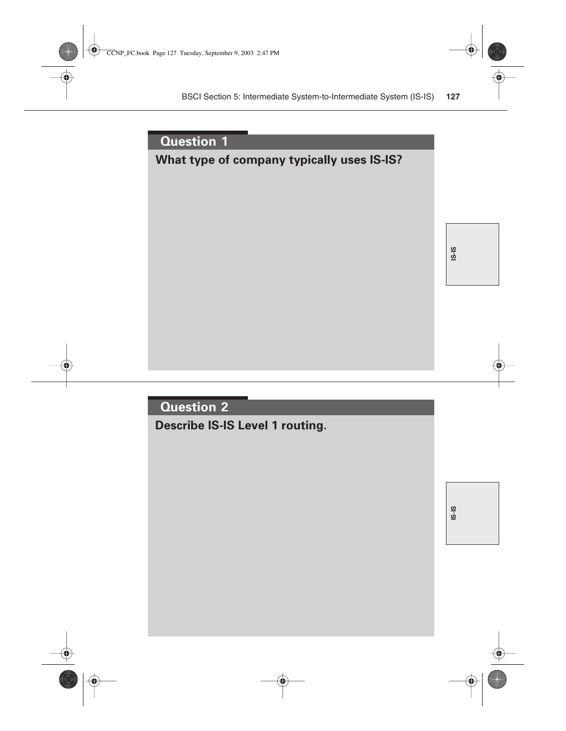### **What type of company typically uses IS-IS?**

**IS-IS**

#### **Question 2**

**Describe IS-IS Level 1 routing.**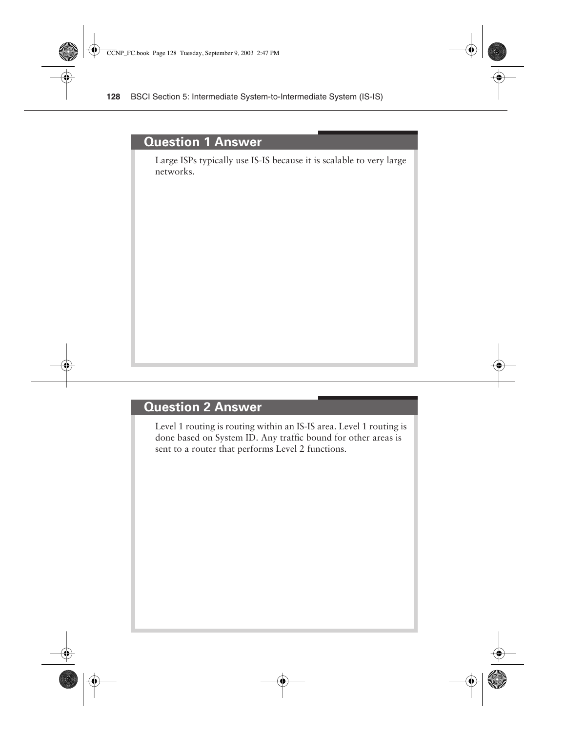#### **Question 1 Answer**

Large ISPs typically use IS-IS because it is scalable to very large networks.

#### **Question 2 Answer**

Level 1 routing is routing within an IS-IS area. Level 1 routing is done based on System ID. Any traffic bound for other areas is sent to a router that performs Level 2 functions.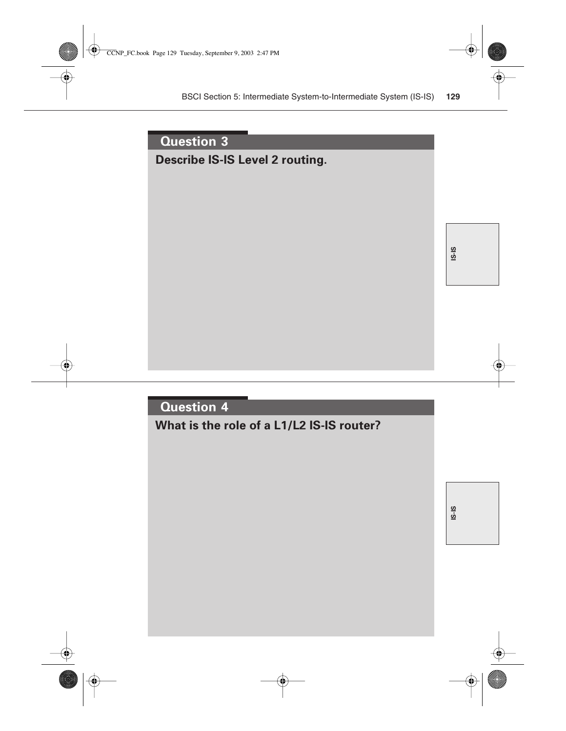### **Describe IS-IS Level 2 routing.**

**IS-IS**

#### **Question 4**

**What is the role of a L1/L2 IS-IS router?**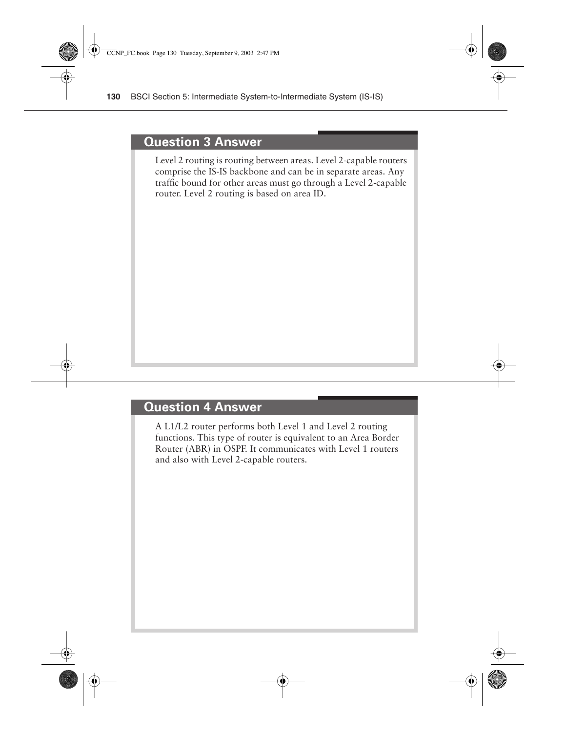#### **Question 3 Answer**

Level 2 routing is routing between areas. Level 2-capable routers comprise the IS-IS backbone and can be in separate areas. Any traffic bound for other areas must go through a Level 2-capable router. Level 2 routing is based on area ID.

#### **Question 4 Answer**

A L1/L2 router performs both Level 1 and Level 2 routing functions. This type of router is equivalent to an Area Border Router (ABR) in OSPF. It communicates with Level 1 routers and also with Level 2-capable routers.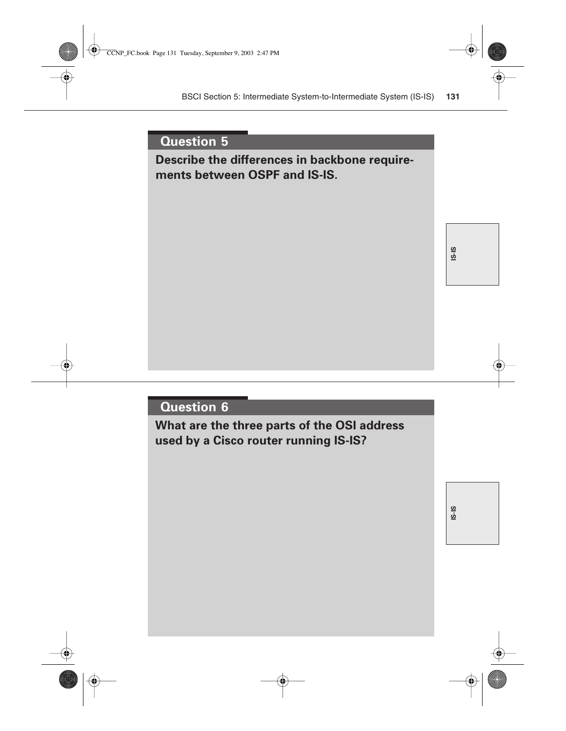**Describe the differences in backbone requirements between OSPF and IS-IS.**

**IS-IS**

#### **Question 6**

**What are the three parts of the OSI address used by a Cisco router running IS-IS?**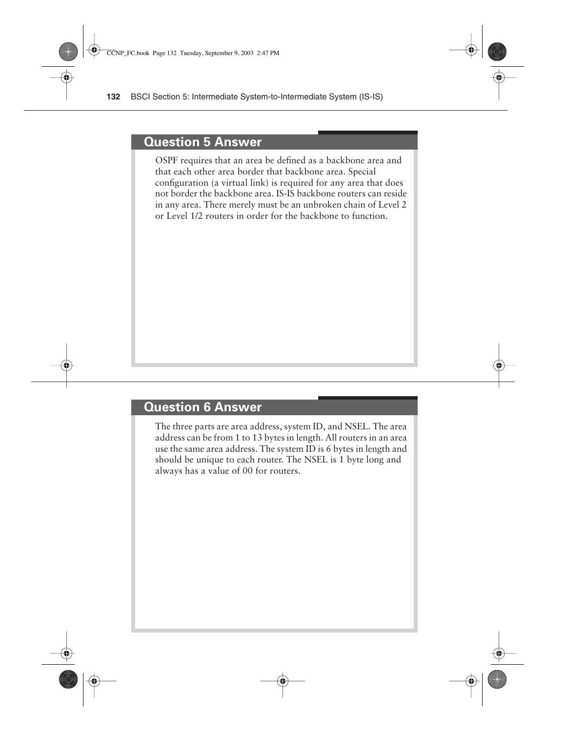#### **Question 5 Answer**

OSPF requires that an area be defined as a backbone area and that each other area border that backbone area. Special configuration (a virtual link) is required for any area that does not border the backbone area. IS-IS backbone routers can reside in any area. There merely must be an unbroken chain of Level 2 or Level 1/2 routers in order for the backbone to function.

#### **Question 6 Answer**

The three parts are area address, system ID, and NSEL. The area address can be from 1 to 13 bytes in length. All routers in an area use the same area address. The system ID is 6 bytes in length and should be unique to each router. The NSEL is 1 byte long and always has a value of 00 for routers.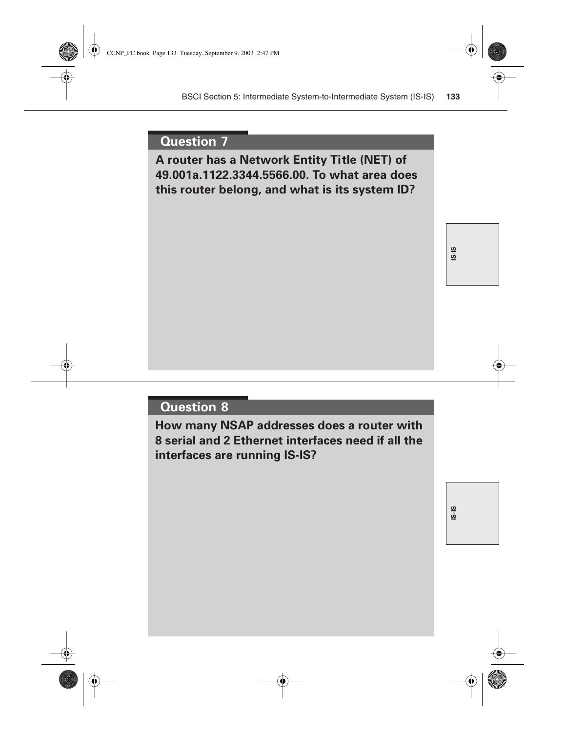**A router has a Network Entity Title (NET) of 49.001a.1122.3344.5566.00. To what area does this router belong, and what is its system ID?**

**IS-IS**

#### **Question 8**

**How many NSAP addresses does a router with 8 serial and 2 Ethernet interfaces need if all the interfaces are running IS-IS?**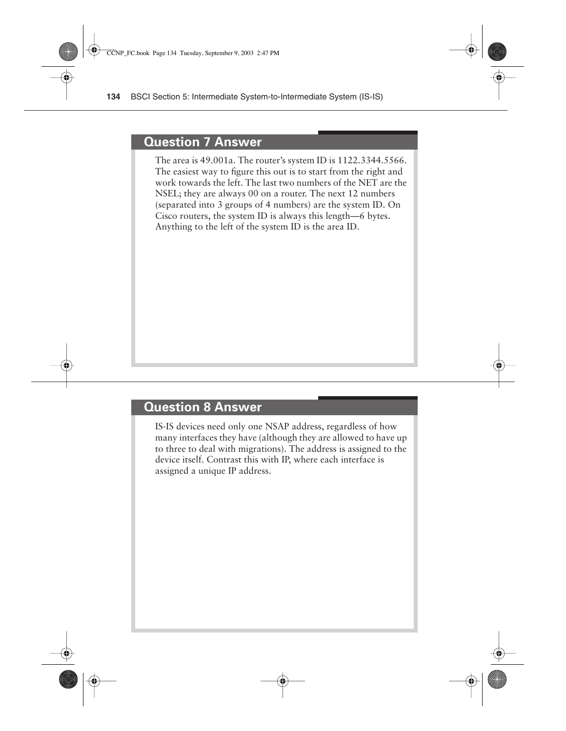#### **Question 7 Answer**

The area is 49.001a. The router's system ID is 1122.3344.5566. The easiest way to figure this out is to start from the right and work towards the left. The last two numbers of the NET are the NSEL; they are always 00 on a router. The next 12 numbers (separated into 3 groups of 4 numbers) are the system ID. On Cisco routers, the system ID is always this length—6 bytes. Anything to the left of the system ID is the area ID.

#### **Question 8 Answer**

IS-IS devices need only one NSAP address, regardless of how many interfaces they have (although they are allowed to have up to three to deal with migrations). The address is assigned to the device itself. Contrast this with IP, where each interface is assigned a unique IP address.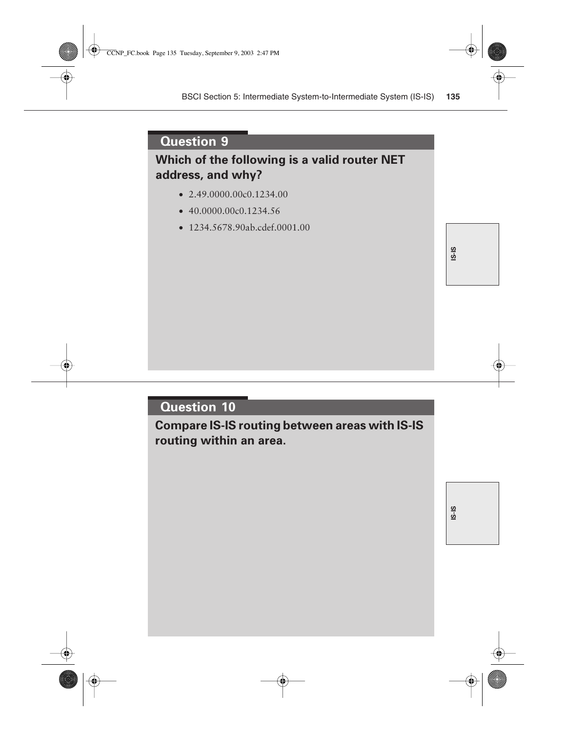#### **Which of the following is a valid router NET address, and why?**

- $\bullet$  2.49.0000.00 $c$ 0.1234.00
- $\bullet$  40.0000.00c0.1234.56
- 1234,5678,90ab.cdef.0001.00

**IS-IS**

#### **Question 10**

**Compare IS-IS routing between areas with IS-IS routing within an area.**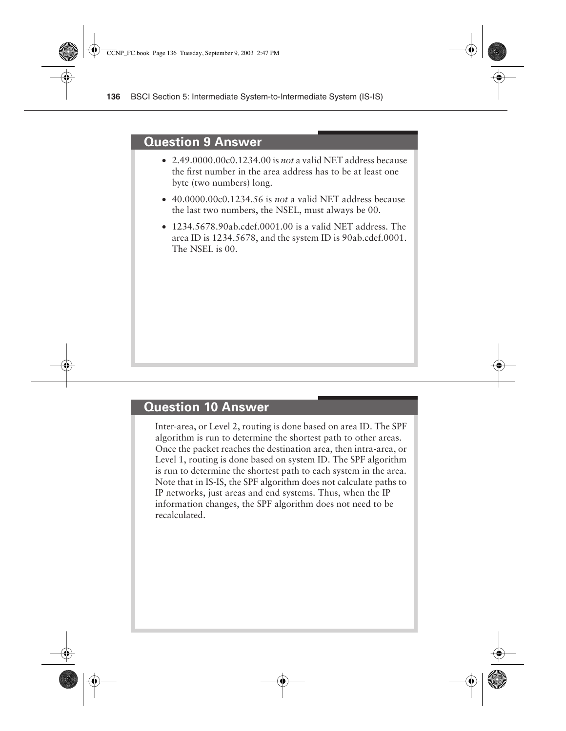#### **Question 9 Answer**

- 2.49.0000.00c0.1234.00 is *not* a valid NET address because the first number in the area address has to be at least one byte (two numbers) long.
- 40.0000.00c0.1234.56 is *not* a valid NET address because the last two numbers, the NSEL, must always be 00.
- 1234,5678,90ab.cdef.0001.00 is a valid NET address. The area ID is 1234.5678, and the system ID is 90ab.cdef.0001. The NSEL is 00.

#### **Question 10 Answer**

Inter-area, or Level 2, routing is done based on area ID. The SPF algorithm is run to determine the shortest path to other areas. Once the packet reaches the destination area, then intra-area, or Level 1, routing is done based on system ID. The SPF algorithm is run to determine the shortest path to each system in the area. Note that in IS-IS, the SPF algorithm does not calculate paths to IP networks, just areas and end systems. Thus, when the IP information changes, the SPF algorithm does not need to be recalculated.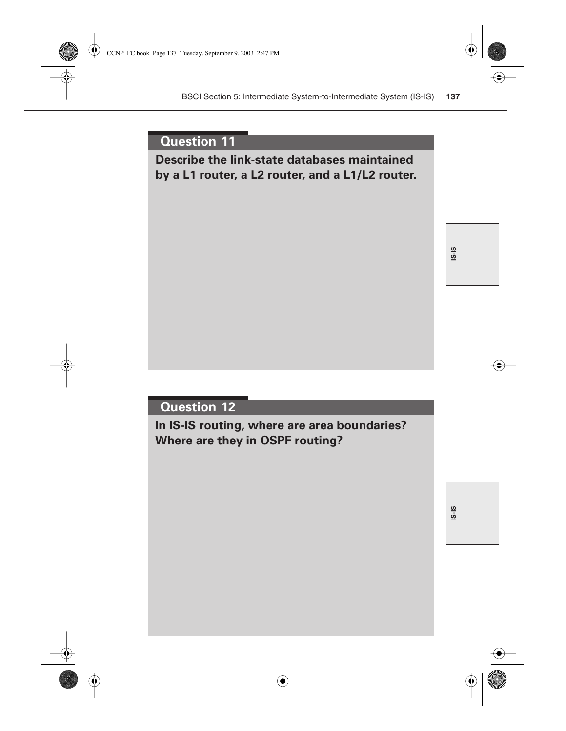#### **Describe the link-state databases maintained by a L1 router, a L2 router, and a L1/L2 router.**

**IS-IS**

#### **Question 12**

**In IS-IS routing, where are area boundaries? Where are they in OSPF routing?**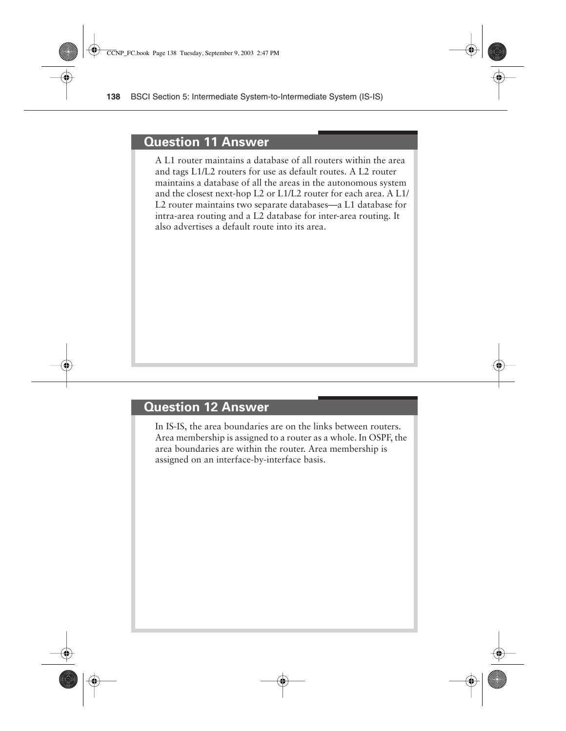#### **Question 11 Answer**

A L1 router maintains a database of all routers within the area and tags L1/L2 routers for use as default routes. A L2 router maintains a database of all the areas in the autonomous system and the closest next-hop L2 or L1/L2 router for each area. A L1/ L2 router maintains two separate databases—a L1 database for intra-area routing and a L2 database for inter-area routing. It also advertises a default route into its area.

#### **Question 12 Answer**

In IS-IS, the area boundaries are on the links between routers. Area membership is assigned to a router as a whole. In OSPF, the area boundaries are within the router. Area membership is assigned on an interface-by-interface basis.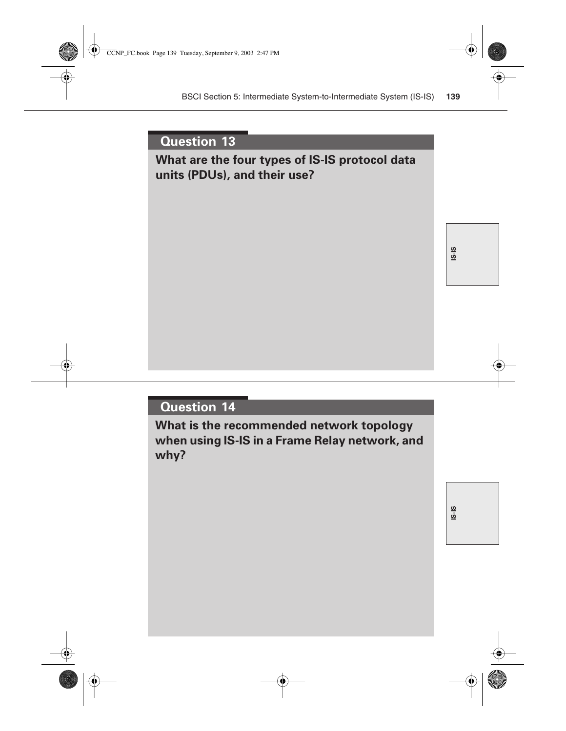**What are the four types of IS-IS protocol data units (PDUs), and their use?**

**IS-IS**

#### **Question 14**

**What is the recommended network topology when using IS-IS in a Frame Relay network, and why?**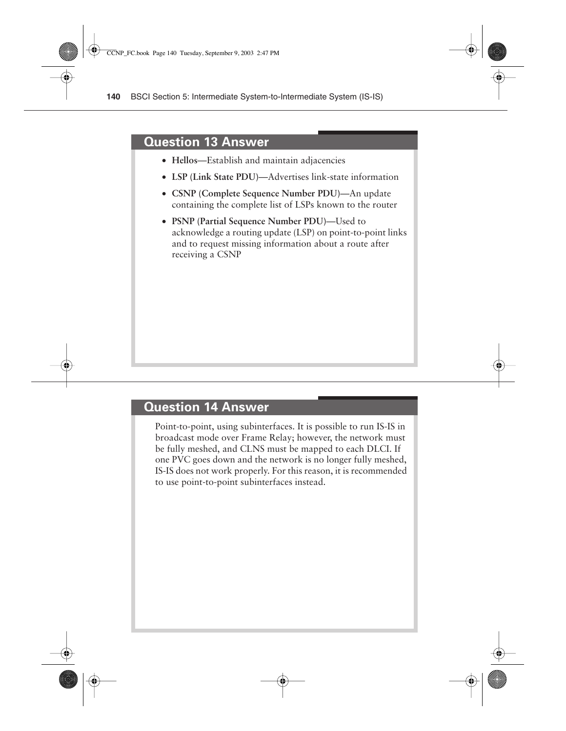#### **Question 13 Answer**

- **Hellos**—Establish and maintain adjacencies
- **LSP (Link State PDU)**—Advertises link-state information
- **CSNP (Complete Sequence Number PDU)**—An update containing the complete list of LSPs known to the router
- **PSNP (Partial Sequence Number PDU)**—Used to acknowledge a routing update (LSP) on point-to-point links and to request missing information about a route after receiving a CSNP

#### **Question 14 Answer**

Point-to-point, using subinterfaces. It is possible to run IS-IS in broadcast mode over Frame Relay; however, the network must be fully meshed, and CLNS must be mapped to each DLCI. If one PVC goes down and the network is no longer fully meshed, IS-IS does not work properly. For this reason, it is recommended to use point-to-point subinterfaces instead.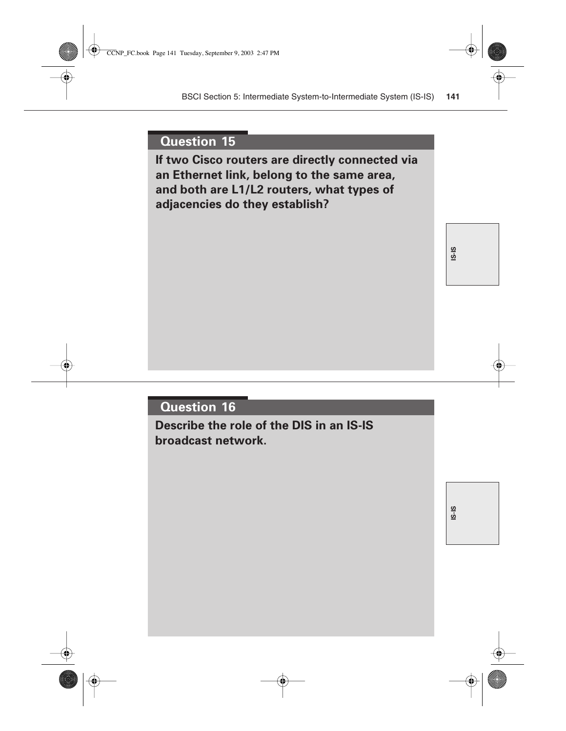**If two Cisco routers are directly connected via an Ethernet link, belong to the same area, and both are L1/L2 routers, what types of adjacencies do they establish?**

**IS-IS**

#### **Question 16**

**Describe the role of the DIS in an IS-IS broadcast network.**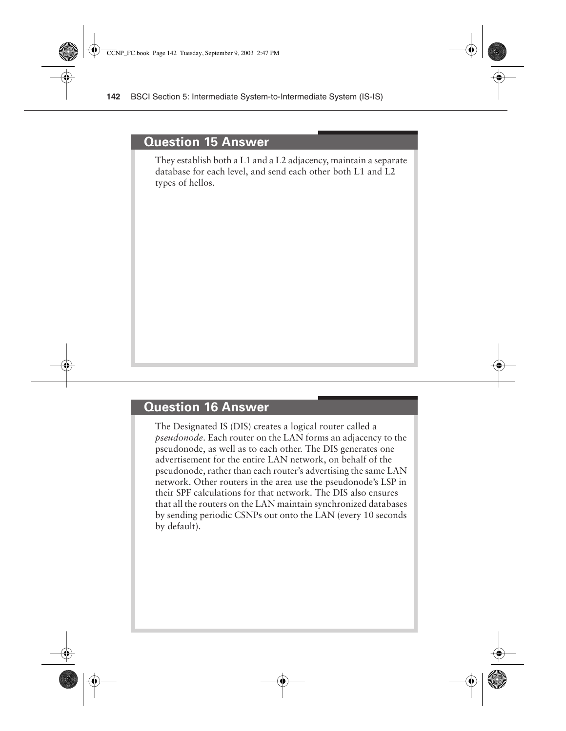#### **Question 15 Answer**

They establish both a L1 and a L2 adjacency, maintain a separate database for each level, and send each other both L1 and L2 types of hellos.

#### **Question 16 Answer**

The Designated IS (DIS) creates a logical router called a *pseudonode*. Each router on the LAN forms an adjacency to the pseudonode, as well as to each other. The DIS generates one advertisement for the entire LAN network, on behalf of the pseudonode, rather than each router's advertising the same LAN network. Other routers in the area use the pseudonode's LSP in their SPF calculations for that network. The DIS also ensures that all the routers on the LAN maintain synchronized databases by sending periodic CSNPs out onto the LAN (every 10 seconds by default).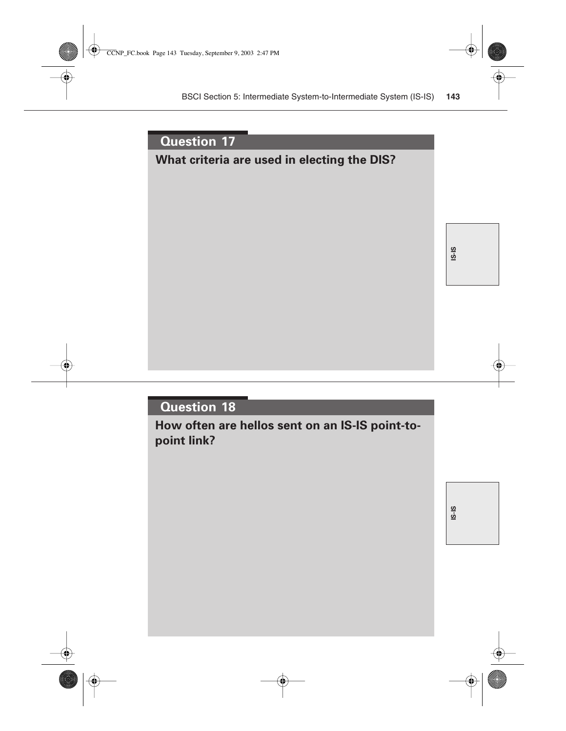### **What criteria are used in electing the DIS?**

## **IS-IS**

#### **Question 18**

**How often are hellos sent on an IS-IS point-topoint link?**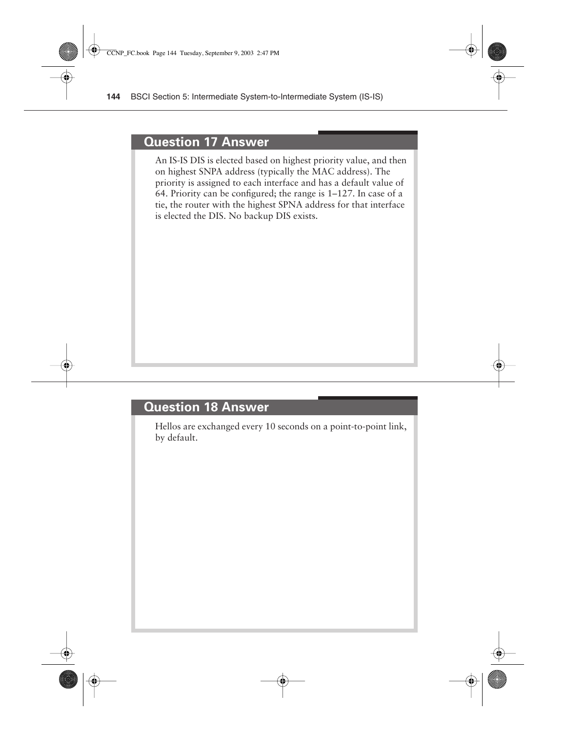#### **Question 17 Answer**

An IS-IS DIS is elected based on highest priority value, and then on highest SNPA address (typically the MAC address). The priority is assigned to each interface and has a default value of 64. Priority can be configured; the range is 1–127. In case of a tie, the router with the highest SPNA address for that interface is elected the DIS. No backup DIS exists.

#### **Question 18 Answer**

Hellos are exchanged every 10 seconds on a point-to-point link, by default.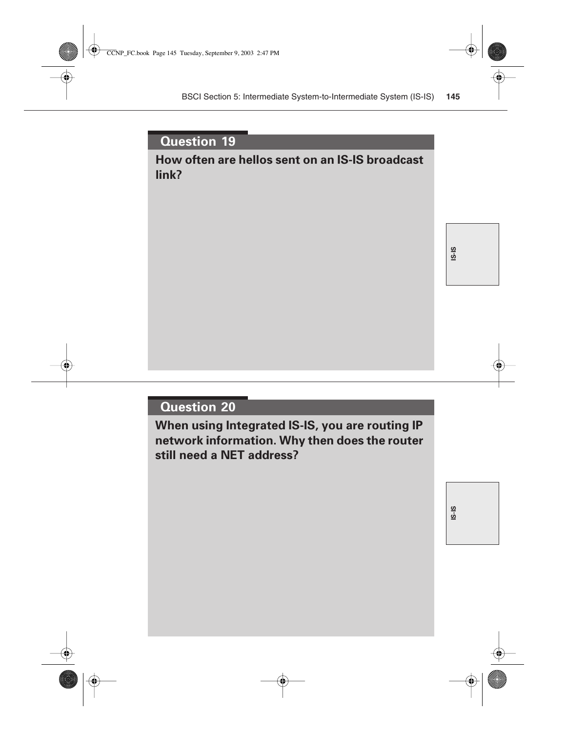#### **How often are hellos sent on an IS-IS broadcast link?**

**IS-IS**

#### **Question 20**

**When using Integrated IS-IS, you are routing IP network information. Why then does the router still need a NET address?**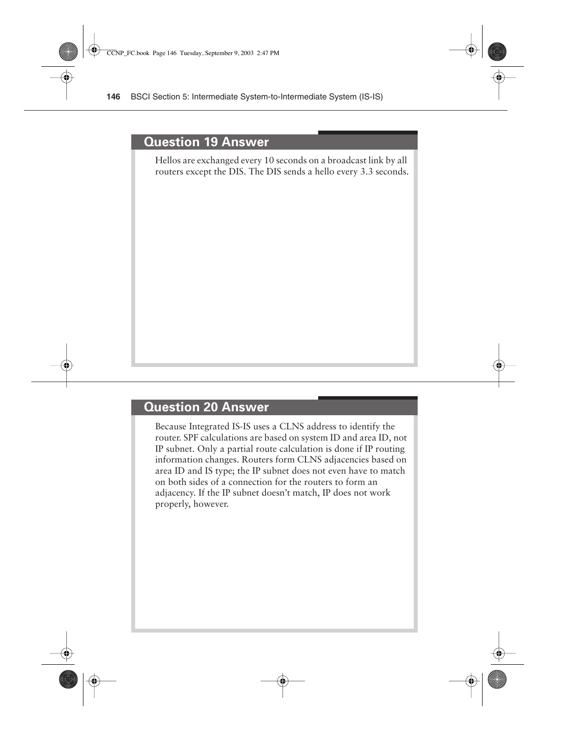#### **Question 19 Answer**

Hellos are exchanged every 10 seconds on a broadcast link by all routers except the DIS. The DIS sends a hello every 3.3 seconds.

#### **Question 20 Answer**

Because Integrated IS-IS uses a CLNS address to identify the router. SPF calculations are based on system ID and area ID, not IP subnet. Only a partial route calculation is done if IP routing information changes. Routers form CLNS adjacencies based on area ID and IS type; the IP subnet does not even have to match on both sides of a connection for the routers to form an adjacency. If the IP subnet doesn't match, IP does not work properly, however.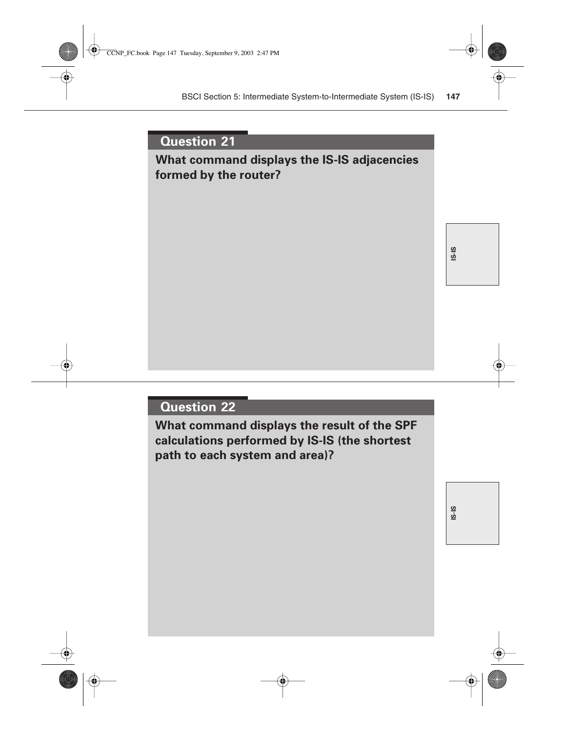#### **What command displays the IS-IS adjacencies formed by the router?**

### **IS-IS**

#### **Question 22**

**What command displays the result of the SPF calculations performed by IS-IS (the shortest path to each system and area)?**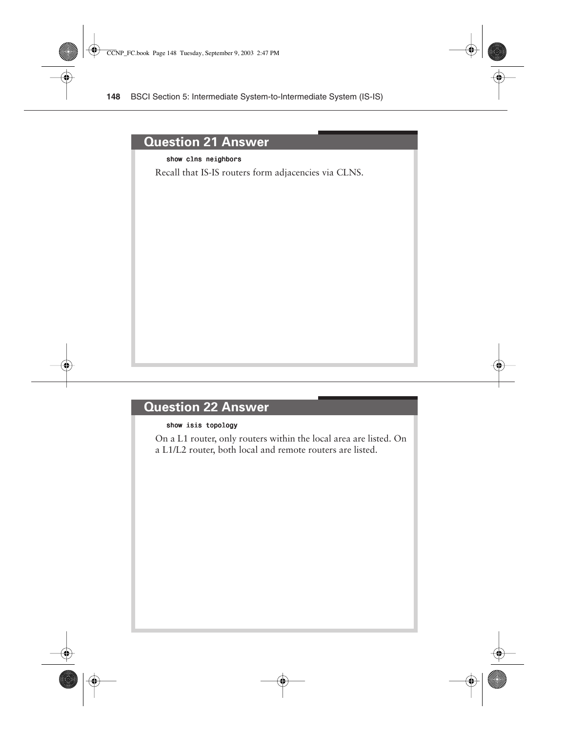#### **Question 21 Answer**

#### *show clns neighbors*

Recall that IS-IS routers form adjacencies via CLNS.

#### **Question 22 Answer**

#### *show isis topology*

On a L1 router, only routers within the local area are listed. On a L1/L2 router, both local and remote routers are listed.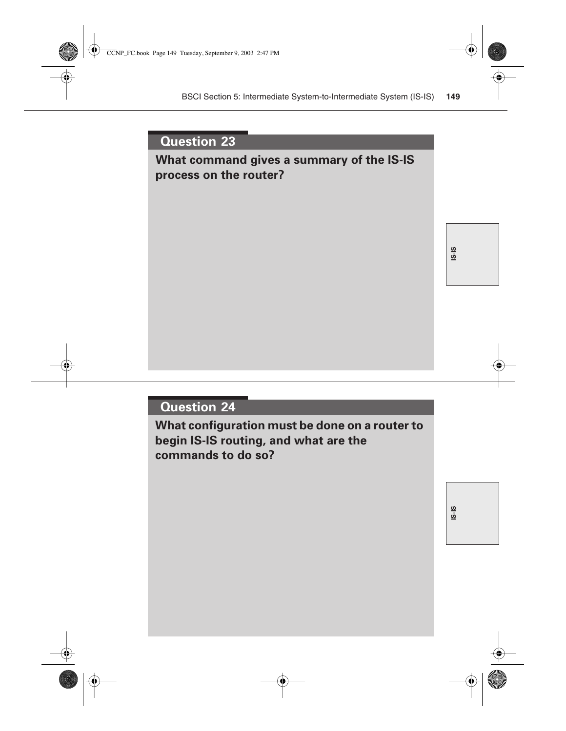#### **What command gives a summary of the IS-IS process on the router?**

**IS-IS**

#### **Question 24**

**What configuration must be done on a router to begin IS-IS routing, and what are the commands to do so?**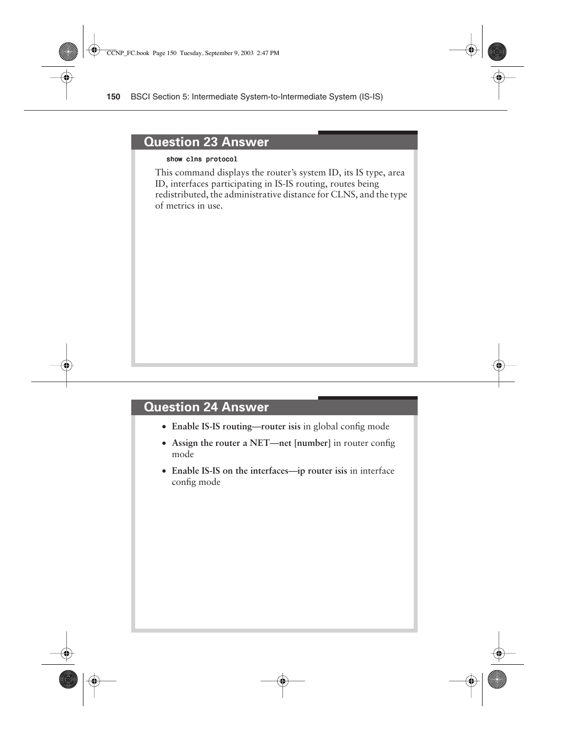#### **Question 23 Answer**

#### *show clns protocol*

This command displays the router's system ID, its IS type, area ID, interfaces participating in IS-IS routing, routes being redistributed, the administrative distance for CLNS, and the type of metrics in use.

#### **Question 24 Answer**

- **Enable IS-IS routing**—**router isis** in global config mode
- **Assign the router a NET**—**net [number]** in router config mode
- **Enable IS-IS on the interfaces**—**ip router isis** in interface config mode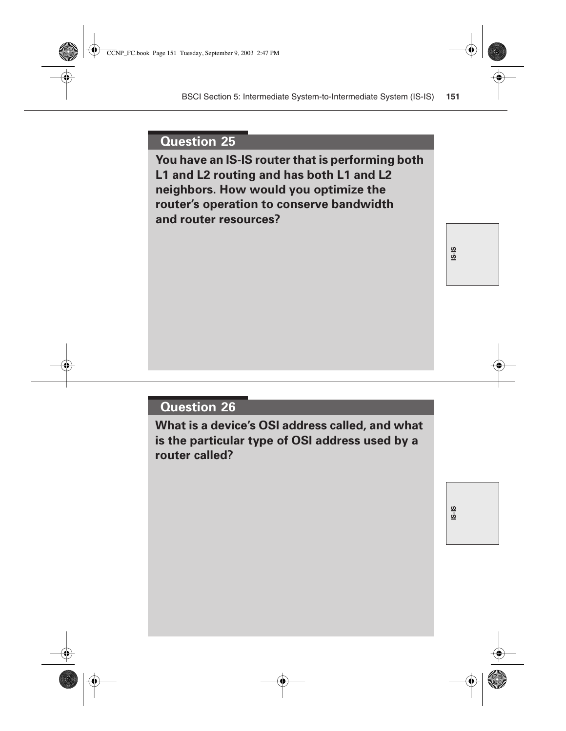**You have an IS-IS router that is performing both L1 and L2 routing and has both L1 and L2 neighbors. How would you optimize the router's operation to conserve bandwidth and router resources?**

**IS-IS**

#### **Question 26**

**What is a device's OSI address called, and what is the particular type of OSI address used by a router called?**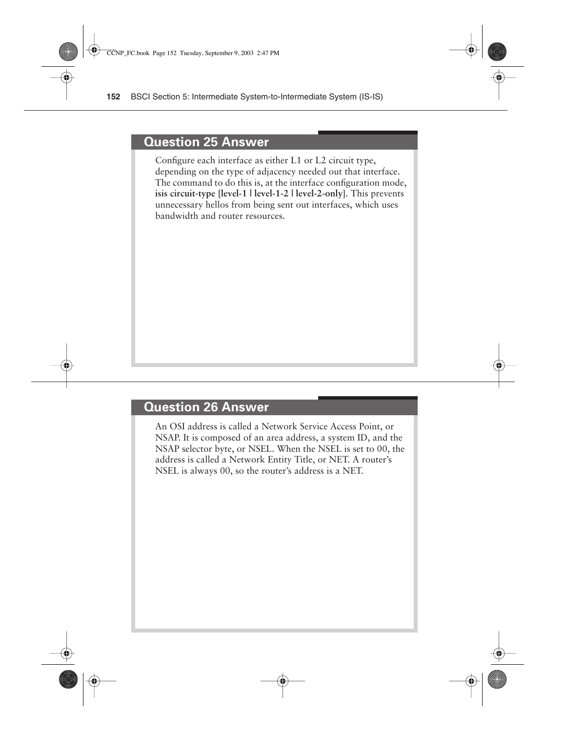#### **Question 25 Answer**

Configure each interface as either L1 or L2 circuit type, depending on the type of adjacency needed out that interface. The command to do this is, at the interface configuration mode, **isis circuit-type [level-1 | level-1-2 | level-2-only]**. This prevents unnecessary hellos from being sent out interfaces, which uses bandwidth and router resources.

#### **Question 26 Answer**

An OSI address is called a Network Service Access Point, or NSAP. It is composed of an area address, a system ID, and the NSAP selector byte, or NSEL. When the NSEL is set to 00, the address is called a Network Entity Title, or NET. A router's NSEL is always 00, so the router's address is a NET.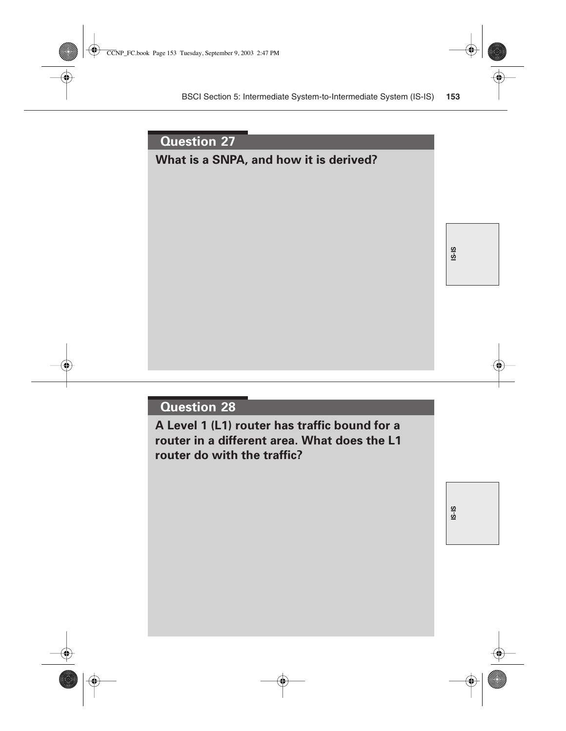#### **What is a SNPA, and how it is derived?**

# **IS-IS**

#### **Question 28**

**A Level 1 (L1) router has traffic bound for a router in a different area. What does the L1 router do with the traffic?**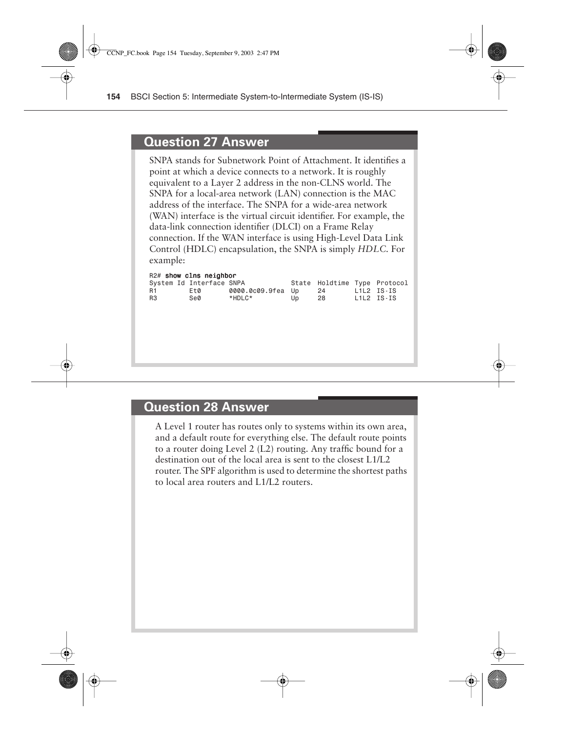#### **Question 27 Answer**

SNPA stands for Subnetwork Point of Attachment. It identifies a point at which a device connects to a network. It is roughly equivalent to a Layer 2 address in the non-CLNS world. The SNPA for a local-area network (LAN) connection is the MAC address of the interface. The SNPA for a wide-area network (WAN) interface is the virtual circuit identifier. For example, the data-link connection identifier (DLCI) on a Frame Relay connection. If the WAN interface is using High-Level Data Link Control (HDLC) encapsulation, the SNPA is simply *HDLC*. For example:

| R2# show clns neighbor<br>System Id Interface SNPA<br>R <sub>1</sub><br>R <sub>3</sub> | Et0<br>Se0 | 0000.0c09.9fea<br>*HDLC* | State<br>Up<br>Up | Holdtime Type Protocol<br>24<br>28 | $L1L2$ IS-IS<br>$L1L2$ IS-IS |
|----------------------------------------------------------------------------------------|------------|--------------------------|-------------------|------------------------------------|------------------------------|
|                                                                                        |            |                          |                   |                                    |                              |

#### **Question 28 Answer**

A Level 1 router has routes only to systems within its own area, and a default route for everything else. The default route points to a router doing Level 2 (L2) routing. Any traffic bound for a destination out of the local area is sent to the closest L1/L2 router. The SPF algorithm is used to determine the shortest paths to local area routers and L1/L2 routers.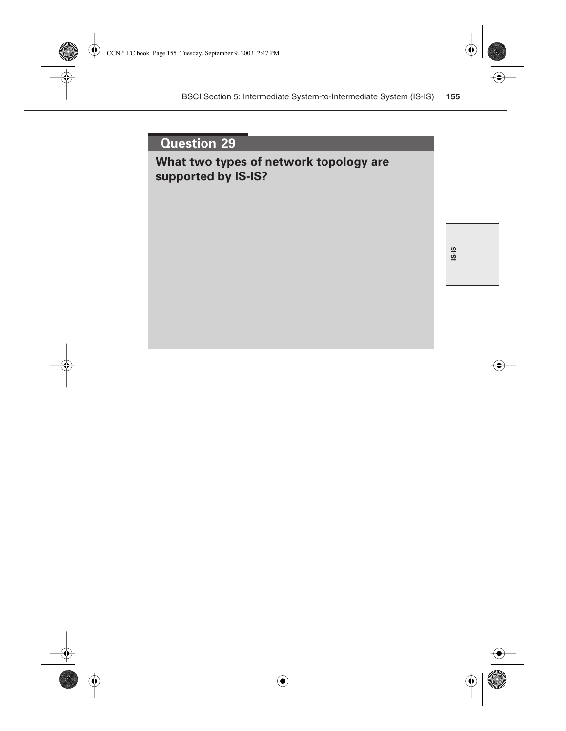#### **What two types of network topology are supported by IS-IS?**